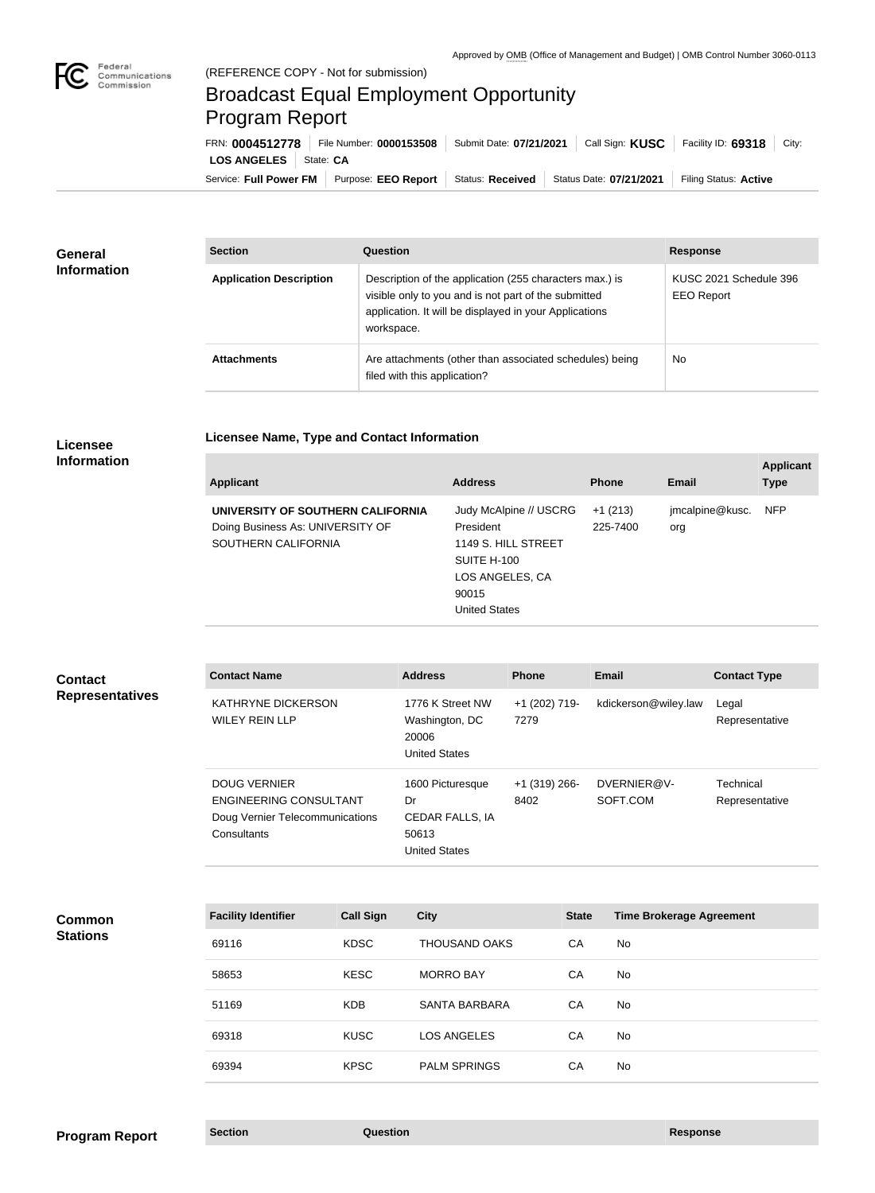

## Broadcast Equal Employment Opportunity Program Report

**Licensee Name, Type and Contact Information**

Service: Full Power FM | Purpose: EEO Report | Status: Received | Status Date: 07/21/2021 | Filing Status: Active **LOS ANGELES** | State: CA FRN: **0004512778** File Number: **0000153508** Submit Date: **07/21/2021** Call Sign: **KUSC** Facility ID: **69318** City:

| <b>General</b><br><b>Information</b> | <b>Section</b>                 | Question                                                                                                                                                                                | <b>Response</b>                             |
|--------------------------------------|--------------------------------|-----------------------------------------------------------------------------------------------------------------------------------------------------------------------------------------|---------------------------------------------|
|                                      | <b>Application Description</b> | Description of the application (255 characters max.) is<br>visible only to you and is not part of the submitted<br>application. It will be displayed in your Applications<br>workspace. | KUSC 2021 Schedule 396<br><b>EEO Report</b> |
|                                      | <b>Attachments</b>             | Are attachments (other than associated schedules) being<br>filed with this application?                                                                                                 | <b>No</b>                                   |

## **Licensee Information**

| <b>Applicant</b>                                                                             | <b>Address</b>                                                                                                         | <b>Phone</b>          | <b>Email</b>           | <b>Applicant</b><br><b>Type</b> |
|----------------------------------------------------------------------------------------------|------------------------------------------------------------------------------------------------------------------------|-----------------------|------------------------|---------------------------------|
| UNIVERSITY OF SOUTHERN CALIFORNIA<br>Doing Business As: UNIVERSITY OF<br>SOUTHERN CALIFORNIA | Judy McAlpine // USCRG<br>President<br>1149 S. HILL STREET<br>SUITE H-100<br>LOS ANGELES, CA<br>90015<br>United States | $+1(213)$<br>225-7400 | jmcalpine@kusc.<br>org | <b>NFP</b>                      |

| <b>Contact</b><br><b>Representatives</b> | <b>Contact Name</b>                                                                                    |                  | <b>Address</b>                                                             | <b>Phone</b>            |              | <b>Email</b>                    | <b>Contact Type</b>         |
|------------------------------------------|--------------------------------------------------------------------------------------------------------|------------------|----------------------------------------------------------------------------|-------------------------|--------------|---------------------------------|-----------------------------|
|                                          | KATHRYNE DICKERSON<br><b>WILEY REIN LLP</b>                                                            |                  | 1776 K Street NW<br>Washington, DC<br>20006<br><b>United States</b>        | +1 (202) 719-<br>7279   |              | kdickerson@wiley.law            | Legal<br>Representative     |
|                                          | <b>DOUG VERNIER</b><br><b>ENGINEERING CONSULTANT</b><br>Doug Vernier Telecommunications<br>Consultants |                  | 1600 Picturesque<br>Dr<br>CEDAR FALLS, IA<br>50613<br><b>United States</b> | $+1$ (319) 266-<br>8402 |              | DVERNIER@V-<br>SOFT.COM         | Technical<br>Representative |
| <b>Common</b><br><b>Stations</b>         | <b>Facility Identifier</b>                                                                             | <b>Call Sign</b> | <b>City</b>                                                                |                         | <b>State</b> | <b>Time Brokerage Agreement</b> |                             |
|                                          | 69116                                                                                                  | <b>KDSC</b>      | <b>THOUSAND OAKS</b>                                                       |                         | CA           | <b>No</b>                       |                             |
|                                          | 58653                                                                                                  | <b>KESC</b>      | <b>MORRO BAY</b>                                                           |                         | CA           | <b>No</b>                       |                             |
|                                          | 51169                                                                                                  | <b>KDB</b>       | <b>SANTA BARBARA</b>                                                       |                         | CA           | No                              |                             |
|                                          | 69318                                                                                                  | <b>KUSC</b>      | <b>LOS ANGELES</b>                                                         |                         | CA           | No                              |                             |
|                                          | 69394                                                                                                  | <b>KPSC</b>      | <b>PALM SPRINGS</b>                                                        |                         | CA           | No                              |                             |